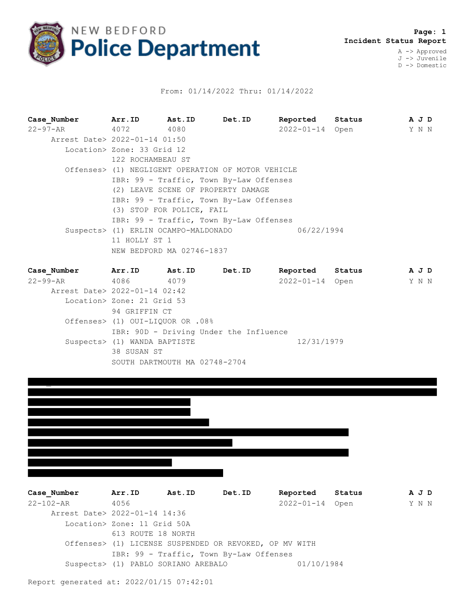

## From: 01/14/2022 Thru: 01/14/2022

**Case\_Number Arr.ID Ast.ID Det.ID Reported Status A J D** 22-97-AR 4072 4080 2022-01-14 Open Y N N Arrest Date> 2022-01-14 01:50 Location> Zone: 33 Grid 12 122 ROCHAMBEAU ST Offenses> (1) NEGLIGENT OPERATION OF MOTOR VEHICLE IBR: 99 - Traffic, Town By-Law Offenses (2) LEAVE SCENE OF PROPERTY DAMAGE IBR: 99 - Traffic, Town By-Law Offenses (3) STOP FOR POLICE, FAIL IBR: 99 - Traffic, Town By-Law Offenses Suspects> (1) ERLIN OCAMPO-MALDONADO 06/22/1994 11 HOLLY ST 1 NEW BEDFORD MA 02746-1837

| Case Number                   | Arr.ID                           | Ast.ID                        | Det.ID                                 | Reported        | Status |  | A J D |
|-------------------------------|----------------------------------|-------------------------------|----------------------------------------|-----------------|--------|--|-------|
| $22 - 99 - AR$                | 4086                             | 4079                          |                                        | 2022-01-14 Open |        |  | Y N N |
| Arrest Date> 2022-01-14 02:42 |                                  |                               |                                        |                 |        |  |       |
|                               | Location> Zone: 21 Grid 53       |                               |                                        |                 |        |  |       |
|                               | 94 GRIFFIN CT                    |                               |                                        |                 |        |  |       |
|                               | Offenses> (1) OUI-LIQUOR OR .08% |                               |                                        |                 |        |  |       |
|                               |                                  |                               | IBR: 90D - Driving Under the Influence |                 |        |  |       |
|                               | Suspects> (1) WANDA BAPTISTE     |                               |                                        | 12/31/1979      |        |  |       |
|                               | 38 SUSAN ST                      |                               |                                        |                 |        |  |       |
|                               |                                  | SOUTH DARTMOUTH MA 02748-2704 |                                        |                 |        |  |       |



| Case Number                   | Arr.ID                      | Ast.ID                                                 | Det.ID | Reported        | Status | A J D |  |
|-------------------------------|-----------------------------|--------------------------------------------------------|--------|-----------------|--------|-------|--|
| 22-102-AR                     | 4056                        |                                                        |        | 2022-01-14 Open |        | Y N N |  |
| Arrest Date> 2022-01-14 14:36 |                             |                                                        |        |                 |        |       |  |
|                               | Location> Zone: 11 Grid 50A |                                                        |        |                 |        |       |  |
|                               | 613 ROUTE 18 NORTH          |                                                        |        |                 |        |       |  |
|                               |                             | Offenses> (1) LICENSE SUSPENDED OR REVOKED, OP MV WITH |        |                 |        |       |  |
|                               |                             | IBR: 99 - Traffic, Town By-Law Offenses                |        |                 |        |       |  |
|                               |                             | Suspects> (1) PABLO SORIANO AREBALO                    |        | 01/10/1984      |        |       |  |
|                               |                             |                                                        |        |                 |        |       |  |